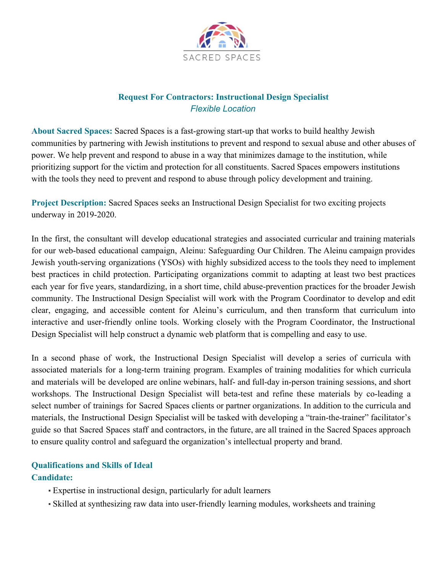

## **Request For Contractors: Instructional Design Specialist** *Flexible Location*

**About Sacred Spaces:** Sacred Spaces is a fast-growing start-up that works to build healthy Jewish communities by partnering with Jewish institutions to prevent and respond to sexual abuse and other abuses of power. We help prevent and respond to abuse in a way that minimizes damage to the institution, while prioritizing support for the victim and protection for all constituents. Sacred Spaces empowers institutions with the tools they need to prevent and respond to abuse through policy development and training.

**Project Description:** Sacred Spaces seeks an Instructional Design Specialist for two exciting projects underway in 2019-2020.

In the first, the consultant will develop educational strategies and associated curricular and training materials for our web-based educational campaign, Aleinu: Safeguarding Our Children. The Aleinu campaign provides Jewish youth-serving organizations (YSOs) with highly subsidized access to the tools they need to implement best practices in child protection. Participating organizations commit to adapting at least two best practices each year for five years, standardizing, in a short time, child abuse-prevention practices for the broader Jewish community. The Instructional Design Specialist will work with the Program Coordinator to develop and edit clear, engaging, and accessible content for Aleinu's curriculum, and then transform that curriculum into interactive and user-friendly online tools. Working closely with the Program Coordinator, the Instructional Design Specialist will help construct a dynamic web platform that is compelling and easy to use.

In a second phase of work, the Instructional Design Specialist will develop a series of curricula with associated materials for a long-term training program. Examples of training modalities for which curricula and materials will be developed are online webinars, half- and full-day in-person training sessions, and short workshops. The Instructional Design Specialist will beta-test and refine these materials by co-leading a select number of trainings for Sacred Spaces clients or partner organizations. In addition to the curricula and materials, the Instructional Design Specialist will be tasked with developing a "train-the-trainer" facilitator's guide so that Sacred Spaces staff and contractors, in the future, are all trained in the Sacred Spaces approach to ensure quality control and safeguard the organization's intellectual property and brand.

## **Qualifications and Skills of Ideal**

## **Candidate:**

- Expertise in instructional design, particularly for adult learners
- Skilled at synthesizing raw data into user-friendly learning modules, worksheets and training